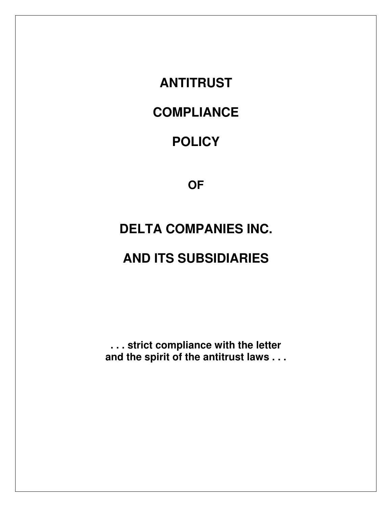**ANTITRUST** 

# **COMPLIANCE**

# **POLICY**

**OF**

# **DELTA COMPANIES INC.**

# **AND ITS SUBSIDIARIES**

**. . . strict compliance with the letter and the spirit of the antitrust laws . . .**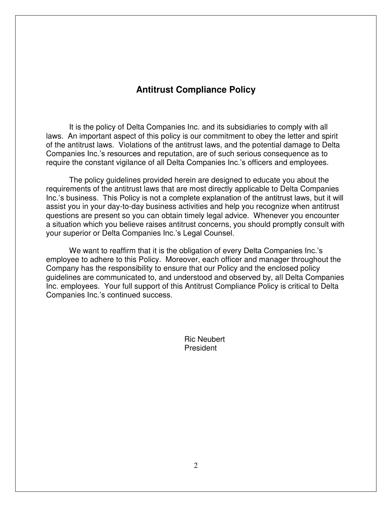### **Antitrust Compliance Policy**

 It is the policy of Delta Companies Inc. and its subsidiaries to comply with all laws. An important aspect of this policy is our commitment to obey the letter and spirit of the antitrust laws. Violations of the antitrust laws, and the potential damage to Delta Companies Inc.'s resources and reputation, are of such serious consequence as to require the constant vigilance of all Delta Companies Inc.'s officers and employees.

 The policy guidelines provided herein are designed to educate you about the requirements of the antitrust laws that are most directly applicable to Delta Companies Inc.'s business. This Policy is not a complete explanation of the antitrust laws, but it will assist you in your day-to-day business activities and help you recognize when antitrust questions are present so you can obtain timely legal advice. Whenever you encounter a situation which you believe raises antitrust concerns, you should promptly consult with your superior or Delta Companies Inc.'s Legal Counsel.

 We want to reaffirm that it is the obligation of every Delta Companies Inc.'s employee to adhere to this Policy. Moreover, each officer and manager throughout the Company has the responsibility to ensure that our Policy and the enclosed policy guidelines are communicated to, and understood and observed by, all Delta Companies Inc. employees. Your full support of this Antitrust Compliance Policy is critical to Delta Companies Inc.'s continued success.

> Ric Neubert President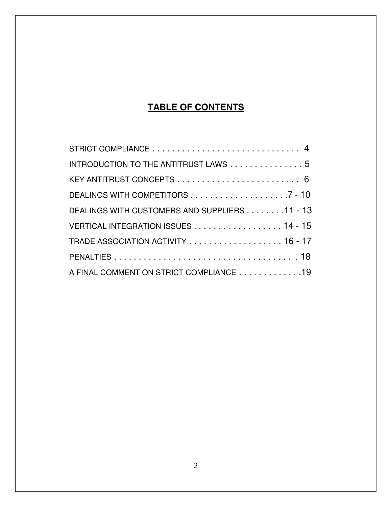# **TABLE OF CONTENTS**

| INTRODUCTION TO THE ANTITRUST LAWS 5          |  |
|-----------------------------------------------|--|
|                                               |  |
|                                               |  |
| DEALINGS WITH CUSTOMERS AND SUPPLIERS 11 - 13 |  |
| VERTICAL INTEGRATION ISSUES 14 - 15           |  |
| TRADE ASSOCIATION ACTIVITY 16 - 17            |  |
|                                               |  |
| A FINAL COMMENT ON STRICT COMPLIANCE 19       |  |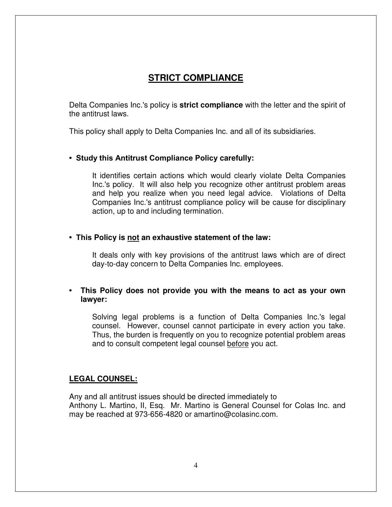## **STRICT COMPLIANCE**

 Delta Companies Inc.'s policy is **strict compliance** with the letter and the spirit of the antitrust laws.

This policy shall apply to Delta Companies Inc. and all of its subsidiaries.

#### **• Study this Antitrust Compliance Policy carefully:**

 It identifies certain actions which would clearly violate Delta Companies Inc.'s policy. It will also help you recognize other antitrust problem areas and help you realize when you need legal advice. Violations of Delta Companies Inc.'s antitrust compliance policy will be cause for disciplinary action, up to and including termination.

#### **• This Policy is not an exhaustive statement of the law:**

 It deals only with key provisions of the antitrust laws which are of direct day-to-day concern to Delta Companies Inc. employees.

#### **• This Policy does not provide you with the means to act as your own lawyer:**

 Solving legal problems is a function of Delta Companies Inc.'s legal counsel. However, counsel cannot participate in every action you take. Thus, the burden is frequently on you to recognize potential problem areas and to consult competent legal counsel before you act.

#### **LEGAL COUNSEL:**

 Any and all antitrust issues should be directed immediately to Anthony L. Martino, II, Esq. Mr. Martino is General Counsel for Colas Inc. and may be reached at 973-656-4820 or amartino@colasinc.com.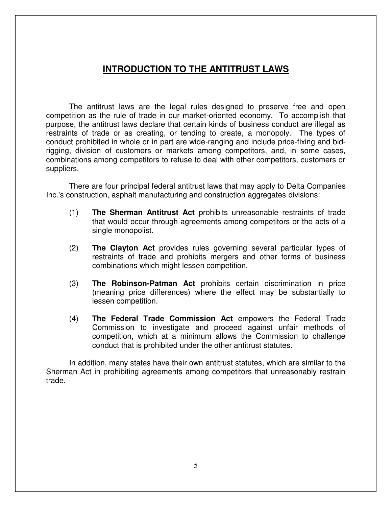### **INTRODUCTION TO THE ANTITRUST LAWS**

 The antitrust laws are the legal rules designed to preserve free and open competition as the rule of trade in our market-oriented economy. To accomplish that purpose, the antitrust laws declare that certain kinds of business conduct are illegal as restraints of trade or as creating, or tending to create, a monopoly. The types of conduct prohibited in whole or in part are wide-ranging and include price-fixing and bidrigging, division of customers or markets among competitors, and, in some cases, combinations among competitors to refuse to deal with other competitors, customers or suppliers.

 There are four principal federal antitrust laws that may apply to Delta Companies Inc.'s construction, asphalt manufacturing and construction aggregates divisions:

- (1) **The Sherman Antitrust Act** prohibits unreasonable restraints of trade that would occur through agreements among competitors or the acts of a single monopolist.
- (2) **The Clayton Act** provides rules governing several particular types of restraints of trade and prohibits mergers and other forms of business combinations which might lessen competition.
- (3) **The Robinson-Patman Act** prohibits certain discrimination in price (meaning price differences) where the effect may be substantially to lessen competition.
- (4) **The Federal Trade Commission Act** empowers the Federal Trade Commission to investigate and proceed against unfair methods of competition, which at a minimum allows the Commission to challenge conduct that is prohibited under the other antitrust statutes.

 In addition, many states have their own antitrust statutes, which are similar to the Sherman Act in prohibiting agreements among competitors that unreasonably restrain trade.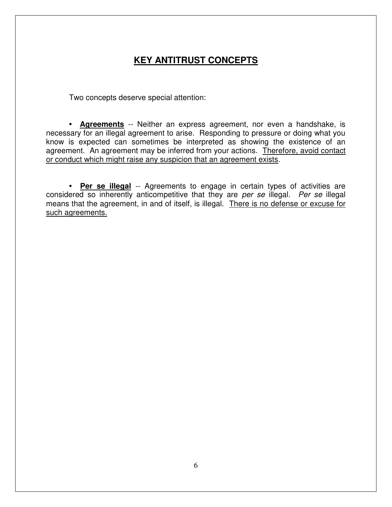# **KEY ANTITRUST CONCEPTS**

Two concepts deserve special attention:

**• Agreements** -- Neither an express agreement, nor even a handshake, is necessary for an illegal agreement to arise. Responding to pressure or doing what you know is expected can sometimes be interpreted as showing the existence of an agreement. An agreement may be inferred from your actions. Therefore, avoid contact or conduct which might raise any suspicion that an agreement exists.

**• Per se illegal** -- Agreements to engage in certain types of activities are considered so inherently anticompetitive that they are *per se* illegal. *Per se* illegal means that the agreement, in and of itself, is illegal. There is no defense or excuse for such agreements.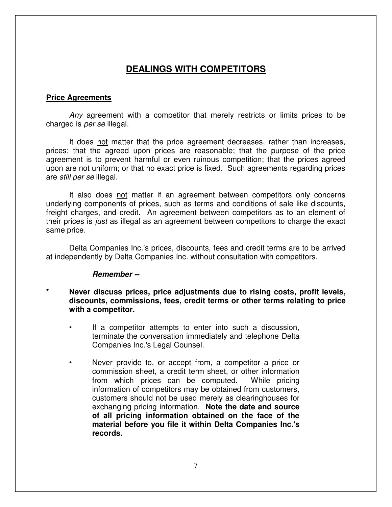#### **Price Agreements**

 *Any* agreement with a competitor that merely restricts or limits prices to be charged is *per se* illegal.

 It does not matter that the price agreement decreases, rather than increases, prices; that the agreed upon prices are reasonable; that the purpose of the price agreement is to prevent harmful or even ruinous competition; that the prices agreed upon are not uniform; or that no exact price is fixed. Such agreements regarding prices are *still per se* illegal.

 It also does not matter if an agreement between competitors only concerns underlying components of prices, such as terms and conditions of sale like discounts, freight charges, and credit. An agreement between competitors as to an element of their prices is *just* as illegal as an agreement between competitors to charge the exact same price.

 Delta Companies Inc.'s prices, discounts, fees and credit terms are to be arrived at independently by Delta Companies Inc. without consultation with competitors.

#### *Remember --*

- Never discuss prices, price adjustments due to rising costs, profit levels. **discounts, commissions, fees, credit terms or other terms relating to price with a competitor.**
	- If a competitor attempts to enter into such a discussion, terminate the conversation immediately and telephone Delta Companies Inc.'s Legal Counsel.
	- Never provide to, or accept from, a competitor a price or commission sheet, a credit term sheet, or other information from which prices can be computed. While pricing information of competitors may be obtained from customers, customers should not be used merely as clearinghouses for exchanging pricing information. **Note the date and source of all pricing information obtained on the face of the material before you file it within Delta Companies Inc.'s records.**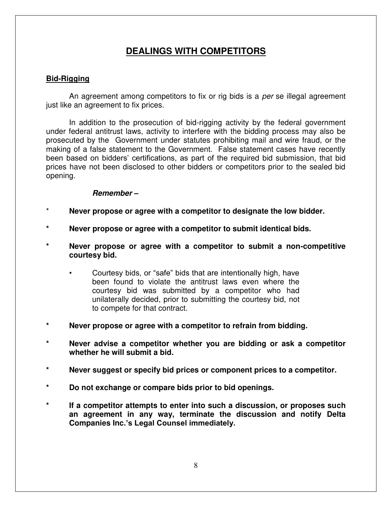#### **Bid-Rigging**

 An agreement among competitors to fix or rig bids is a *per* se illegal agreement just like an agreement to fix prices.

 In addition to the prosecution of bid-rigging activity by the federal government under federal antitrust laws, activity to interfere with the bidding process may also be prosecuted by the Government under statutes prohibiting mail and wire fraud, or the making of a false statement to the Government. False statement cases have recently been based on bidders' certifications, as part of the required bid submission, that bid prices have not been disclosed to other bidders or competitors prior to the sealed bid opening.

#### *Remember –*

- Never propose or agree with a competitor to designate the low bidder.
- **\* Never propose or agree with a competitor to submit identical bids.**
- **\* Never propose or agree with a competitor to submit a non-competitive courtesy bid.** 
	- Courtesy bids, or "safe" bids that are intentionally high, have been found to violate the antitrust laws even where the courtesy bid was submitted by a competitor who had unilaterally decided, prior to submitting the courtesy bid, not to compete for that contract.
- **\* Never propose or agree with a competitor to refrain from bidding.**
- **\* Never advise a competitor whether you are bidding or ask a competitor whether he will submit a bid.**
- **\* Never suggest or specify bid prices or component prices to a competitor.**
- **\* Do not exchange or compare bids prior to bid openings.**
- **\* If a competitor attempts to enter into such a discussion, or proposes such an agreement in any way, terminate the discussion and notify Delta Companies Inc.'s Legal Counsel immediately.**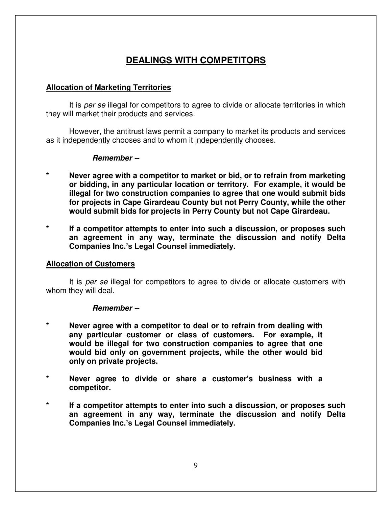#### **Allocation of Marketing Territories**

 It is *per se* illegal for competitors to agree to divide or allocate territories in which they will market their products and services.

 However, the antitrust laws permit a company to market its products and services as it independently chooses and to whom it independently chooses.

#### *Remember --*

- Never agree with a competitor to market or bid, or to refrain from marketing **or bidding, in any particular location or territory. For example, it would be illegal for two construction companies to agree that one would submit bids for projects in Cape Girardeau County but not Perry County, while the other would submit bids for projects in Perry County but not Cape Girardeau.**
- **\* If a competitor attempts to enter into such a discussion, or proposes such an agreement in any way, terminate the discussion and notify Delta Companies Inc.'s Legal Counsel immediately.**

#### **Allocation of Customers**

 It is *per se* illegal for competitors to agree to divide or allocate customers with whom they will deal.

#### *Remember --*

- **\* Never agree with a competitor to deal or to refrain from dealing with any particular customer or class of customers. For example, it would be illegal for two construction companies to agree that one would bid only on government projects, while the other would bid only on private projects.**
- **\* Never agree to divide or share a customer's business with a competitor.**
- **\* If a competitor attempts to enter into such a discussion, or proposes such an agreement in any way, terminate the discussion and notify Delta Companies Inc.'s Legal Counsel immediately.**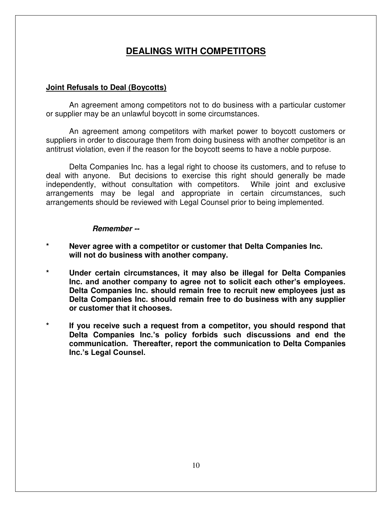#### **Joint Refusals to Deal (Boycotts)**

 An agreement among competitors not to do business with a particular customer or supplier may be an unlawful boycott in some circumstances.

 An agreement among competitors with market power to boycott customers or suppliers in order to discourage them from doing business with another competitor is an antitrust violation, even if the reason for the boycott seems to have a noble purpose.

 Delta Companies Inc. has a legal right to choose its customers, and to refuse to deal with anyone. But decisions to exercise this right should generally be made independently, without consultation with competitors. While joint and exclusive arrangements may be legal and appropriate in certain circumstances, such arrangements should be reviewed with Legal Counsel prior to being implemented.

#### *Remember --*

- **\* Never agree with a competitor or customer that Delta Companies Inc. will not do business with another company.**
- **\* Under certain circumstances, it may also be illegal for Delta Companies Inc. and another company to agree not to solicit each other's employees. Delta Companies Inc. should remain free to recruit new employees just as Delta Companies Inc. should remain free to do business with any supplier or customer that it chooses.**
- **\* If you receive such a request from a competitor, you should respond that Delta Companies Inc.'s policy forbids such discussions and end the communication. Thereafter, report the communication to Delta Companies Inc.'s Legal Counsel.**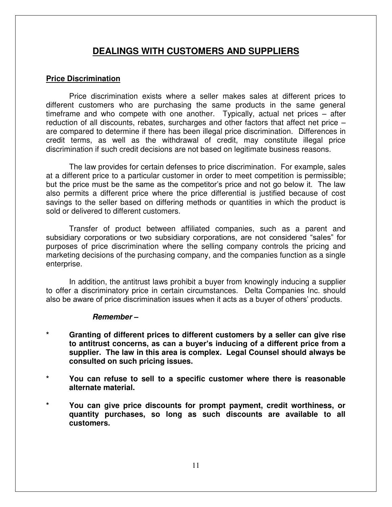### **DEALINGS WITH CUSTOMERS AND SUPPLIERS**

#### **Price Discrimination**

 Price discrimination exists where a seller makes sales at different prices to different customers who are purchasing the same products in the same general timeframe and who compete with one another. Typically, actual net prices – after reduction of all discounts, rebates, surcharges and other factors that affect net price – are compared to determine if there has been illegal price discrimination. Differences in credit terms, as well as the withdrawal of credit, may constitute illegal price discrimination if such credit decisions are not based on legitimate business reasons.

 The law provides for certain defenses to price discrimination. For example, sales at a different price to a particular customer in order to meet competition is permissible; but the price must be the same as the competitor's price and not go below it. The law also permits a different price where the price differential is justified because of cost savings to the seller based on differing methods or quantities in which the product is sold or delivered to different customers.

 Transfer of product between affiliated companies, such as a parent and subsidiary corporations or two subsidiary corporations, are not considered "sales" for purposes of price discrimination where the selling company controls the pricing and marketing decisions of the purchasing company, and the companies function as a single enterprise.

 In addition, the antitrust laws prohibit a buyer from knowingly inducing a supplier to offer a discriminatory price in certain circumstances. Delta Companies Inc. should also be aware of price discrimination issues when it acts as a buyer of others' products.

#### *Remember –*

- Granting of different prices to different customers by a seller can give rise **to antitrust concerns, as can a buyer's inducing of a different price from a supplier. The law in this area is complex. Legal Counsel should always be consulted on such pricing issues.**
- **\* You can refuse to sell to a specific customer where there is reasonable alternate material.**
- **\* You can give price discounts for prompt payment, credit worthiness, or quantity purchases, so long as such discounts are available to all customers.**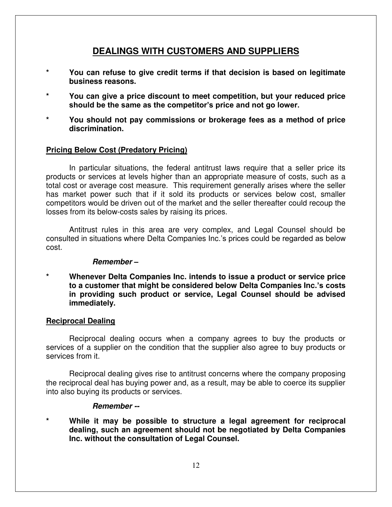## **DEALINGS WITH CUSTOMERS AND SUPPLIERS**

- **\* You can refuse to give credit terms if that decision is based on legitimate business reasons.**
- **\* You can give a price discount to meet competition, but your reduced price should be the same as the competitor's price and not go lower.**
- **\* You should not pay commissions or brokerage fees as a method of price discrimination.**

#### **Pricing Below Cost (Predatory Pricing)**

 In particular situations, the federal antitrust laws require that a seller price its products or services at levels higher than an appropriate measure of costs, such as a total cost or average cost measure. This requirement generally arises where the seller has market power such that if it sold its products or services below cost, smaller competitors would be driven out of the market and the seller thereafter could recoup the losses from its below-costs sales by raising its prices.

 Antitrust rules in this area are very complex, and Legal Counsel should be consulted in situations where Delta Companies Inc.'s prices could be regarded as below cost.

#### *Remember –*

**\* Whenever Delta Companies Inc. intends to issue a product or service price to a customer that might be considered below Delta Companies Inc.'s costs in providing such product or service, Legal Counsel should be advised immediately.** 

#### **Reciprocal Dealing**

 Reciprocal dealing occurs when a company agrees to buy the products or services of a supplier on the condition that the supplier also agree to buy products or services from it.

 Reciprocal dealing gives rise to antitrust concerns where the company proposing the reciprocal deal has buying power and, as a result, may be able to coerce its supplier into also buying its products or services.

#### *Remember --*

While it may be possible to structure a legal agreement for reciprocal **dealing, such an agreement should not be negotiated by Delta Companies Inc. without the consultation of Legal Counsel.**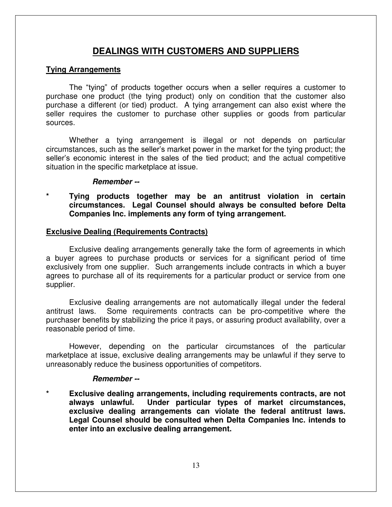## **DEALINGS WITH CUSTOMERS AND SUPPLIERS**

#### **Tying Arrangements**

The "tying" of products together occurs when a seller requires a customer to purchase one product (the tying product) only on condition that the customer also purchase a different (or tied) product. A tying arrangement can also exist where the seller requires the customer to purchase other supplies or goods from particular sources.

 Whether a tying arrangement is illegal or not depends on particular circumstances, such as the seller's market power in the market for the tying product; the seller's economic interest in the sales of the tied product; and the actual competitive situation in the specific marketplace at issue.

#### *Remember --*

**\* Tying products together may be an antitrust violation in certain circumstances. Legal Counsel should always be consulted before Delta Companies Inc. implements any form of tying arrangement.** 

#### **Exclusive Dealing (Requirements Contracts)**

 Exclusive dealing arrangements generally take the form of agreements in which a buyer agrees to purchase products or services for a significant period of time exclusively from one supplier. Such arrangements include contracts in which a buyer agrees to purchase all of its requirements for a particular product or service from one supplier.

 Exclusive dealing arrangements are not automatically illegal under the federal antitrust laws. Some requirements contracts can be pro-competitive where the purchaser benefits by stabilizing the price it pays, or assuring product availability, over a reasonable period of time.

 However, depending on the particular circumstances of the particular marketplace at issue, exclusive dealing arrangements may be unlawful if they serve to unreasonably reduce the business opportunities of competitors.

#### *Remember --*

**\* Exclusive dealing arrangements, including requirements contracts, are not always unlawful. Under particular types of market circumstances, exclusive dealing arrangements can violate the federal antitrust laws. Legal Counsel should be consulted when Delta Companies Inc. intends to enter into an exclusive dealing arrangement.**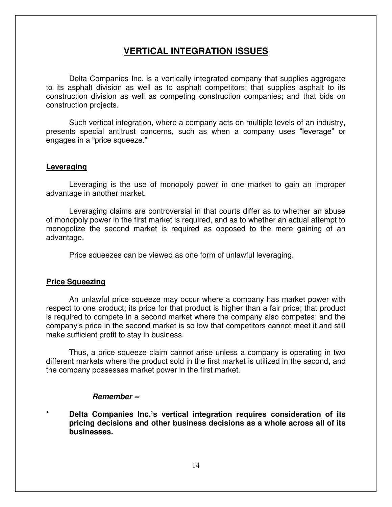### **VERTICAL INTEGRATION ISSUES**

 Delta Companies Inc. is a vertically integrated company that supplies aggregate to its asphalt division as well as to asphalt competitors; that supplies asphalt to its construction division as well as competing construction companies; and that bids on construction projects.

 Such vertical integration, where a company acts on multiple levels of an industry, presents special antitrust concerns, such as when a company uses "leverage" or engages in a "price squeeze."

#### **Leveraging**

 Leveraging is the use of monopoly power in one market to gain an improper advantage in another market.

 Leveraging claims are controversial in that courts differ as to whether an abuse of monopoly power in the first market is required, and as to whether an actual attempt to monopolize the second market is required as opposed to the mere gaining of an advantage.

Price squeezes can be viewed as one form of unlawful leveraging.

#### **Price Squeezing**

 An unlawful price squeeze may occur where a company has market power with respect to one product; its price for that product is higher than a fair price; that product is required to compete in a second market where the company also competes; and the company's price in the second market is so low that competitors cannot meet it and still make sufficient profit to stay in business.

 Thus, a price squeeze claim cannot arise unless a company is operating in two different markets where the product sold in the first market is utilized in the second, and the company possesses market power in the first market.

#### *Remember --*

**\* Delta Companies Inc.'s vertical integration requires consideration of its pricing decisions and other business decisions as a whole across all of its businesses.**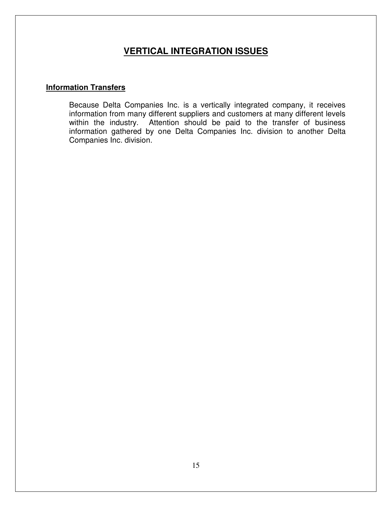# **VERTICAL INTEGRATION ISSUES**

#### **Information Transfers**

Because Delta Companies Inc. is a vertically integrated company, it receives information from many different suppliers and customers at many different levels within the industry. Attention should be paid to the transfer of business information gathered by one Delta Companies Inc. division to another Delta Companies Inc. division.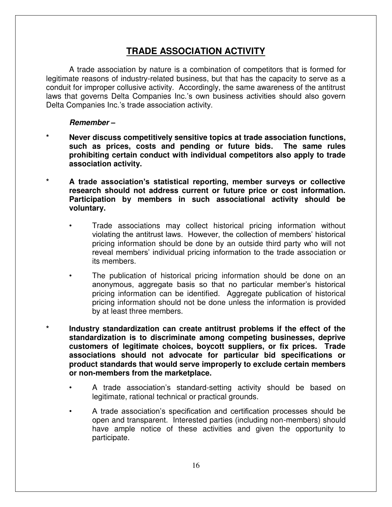## **TRADE ASSOCIATION ACTIVITY**

 A trade association by nature is a combination of competitors that is formed for legitimate reasons of industry-related business, but that has the capacity to serve as a conduit for improper collusive activity. Accordingly, the same awareness of the antitrust laws that governs Delta Companies Inc.'s own business activities should also govern Delta Companies Inc.'s trade association activity.

#### *Remember –*

- **\* Never discuss competitively sensitive topics at trade association functions, such as prices, costs and pending or future bids. The same rules prohibiting certain conduct with individual competitors also apply to trade association activity.**
- **\* A trade association's statistical reporting, member surveys or collective research should not address current or future price or cost information. Participation by members in such associational activity should be voluntary.** 
	- Trade associations may collect historical pricing information without violating the antitrust laws. However, the collection of members' historical pricing information should be done by an outside third party who will not reveal members' individual pricing information to the trade association or its members.
	- The publication of historical pricing information should be done on an anonymous, aggregate basis so that no particular member's historical pricing information can be identified. Aggregate publication of historical pricing information should not be done unless the information is provided by at least three members.
- **\* Industry standardization can create antitrust problems if the effect of the standardization is to discriminate among competing businesses, deprive customers of legitimate choices, boycott suppliers, or fix prices. Trade associations should not advocate for particular bid specifications or product standards that would serve improperly to exclude certain members or non-members from the marketplace.** 
	- A trade association's standard-setting activity should be based on legitimate, rational technical or practical grounds.
	- A trade association's specification and certification processes should be open and transparent. Interested parties (including non-members) should have ample notice of these activities and given the opportunity to participate.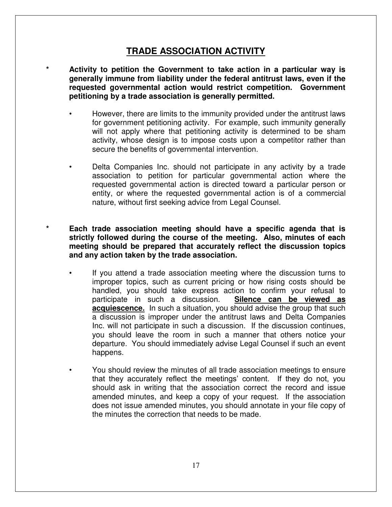### **TRADE ASSOCIATION ACTIVITY**

- **\* Activity to petition the Government to take action in a particular way is generally immune from liability under the federal antitrust laws, even if the requested governmental action would restrict competition. Government petitioning by a trade association is generally permitted.** 
	- However, there are limits to the immunity provided under the antitrust laws for government petitioning activity. For example, such immunity generally will not apply where that petitioning activity is determined to be sham activity, whose design is to impose costs upon a competitor rather than secure the benefits of governmental intervention.
	- Delta Companies Inc. should not participate in any activity by a trade association to petition for particular governmental action where the requested governmental action is directed toward a particular person or entity, or where the requested governmental action is of a commercial nature, without first seeking advice from Legal Counsel.
- **\* Each trade association meeting should have a specific agenda that is strictly followed during the course of the meeting. Also, minutes of each meeting should be prepared that accurately reflect the discussion topics and any action taken by the trade association.** 
	- If you attend a trade association meeting where the discussion turns to improper topics, such as current pricing or how rising costs should be handled, you should take express action to confirm your refusal to participate in such a discussion. **Silence can be viewed as acquiescence.** In such a situation, you should advise the group that such a discussion is improper under the antitrust laws and Delta Companies Inc. will not participate in such a discussion. If the discussion continues, you should leave the room in such a manner that others notice your departure. You should immediately advise Legal Counsel if such an event happens.
	- You should review the minutes of all trade association meetings to ensure that they accurately reflect the meetings' content. If they do not, you should ask in writing that the association correct the record and issue amended minutes, and keep a copy of your request. If the association does not issue amended minutes, you should annotate in your file copy of the minutes the correction that needs to be made.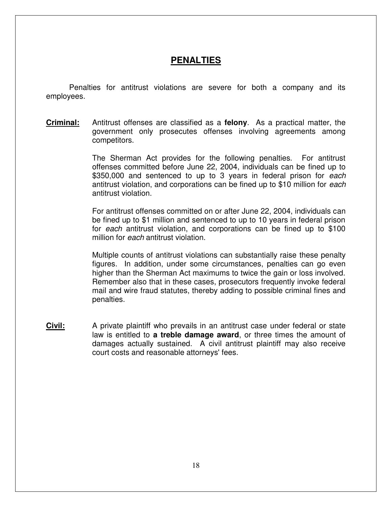### **PENALTIES**

 Penalties for antitrust violations are severe for both a company and its employees.

**Criminal:** Antitrust offenses are classified as a **felony**. As a practical matter, the government only prosecutes offenses involving agreements among competitors.

> The Sherman Act provides for the following penalties. For antitrust offenses committed before June 22, 2004, individuals can be fined up to \$350,000 and sentenced to up to 3 years in federal prison for *each* antitrust violation, and corporations can be fined up to \$10 million for *each* antitrust violation.

> For antitrust offenses committed on or after June 22, 2004, individuals can be fined up to \$1 million and sentenced to up to 10 years in federal prison for *each* antitrust violation, and corporations can be fined up to \$100 million for *each* antitrust violation.

> Multiple counts of antitrust violations can substantially raise these penalty figures. In addition, under some circumstances, penalties can go even higher than the Sherman Act maximums to twice the gain or loss involved. Remember also that in these cases, prosecutors frequently invoke federal mail and wire fraud statutes, thereby adding to possible criminal fines and penalties.

**Civil:** A private plaintiff who prevails in an antitrust case under federal or state law is entitled to **a treble damage award**, or three times the amount of damages actually sustained. A civil antitrust plaintiff may also receive court costs and reasonable attorneys' fees.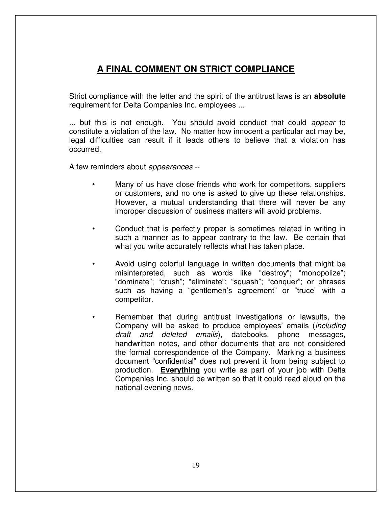# **A FINAL COMMENT ON STRICT COMPLIANCE**

 Strict compliance with the letter and the spirit of the antitrust laws is an **absolute** requirement for Delta Companies Inc. employees ...

 ... but this is not enough. You should avoid conduct that could *appear* to constitute a violation of the law. No matter how innocent a particular act may be, legal difficulties can result if it leads others to believe that a violation has occurred.

A few reminders about *appearances* --

- Many of us have close friends who work for competitors, suppliers or customers, and no one is asked to give up these relationships. However, a mutual understanding that there will never be any improper discussion of business matters will avoid problems.
- Conduct that is perfectly proper is sometimes related in writing in such a manner as to appear contrary to the law. Be certain that what you write accurately reflects what has taken place.
- Avoid using colorful language in written documents that might be misinterpreted, such as words like "destroy"; "monopolize"; "dominate"; "crush"; "eliminate"; "squash"; "conquer"; or phrases such as having a "gentlemen's agreement" or "truce" with a competitor.
- Remember that during antitrust investigations or lawsuits, the Company will be asked to produce employees' emails (*including draft and deleted emails*), datebooks, phone messages, handwritten notes, and other documents that are not considered the formal correspondence of the Company. Marking a business document "confidential" does not prevent it from being subject to production. **Everything** you write as part of your job with Delta Companies Inc. should be written so that it could read aloud on the national evening news.